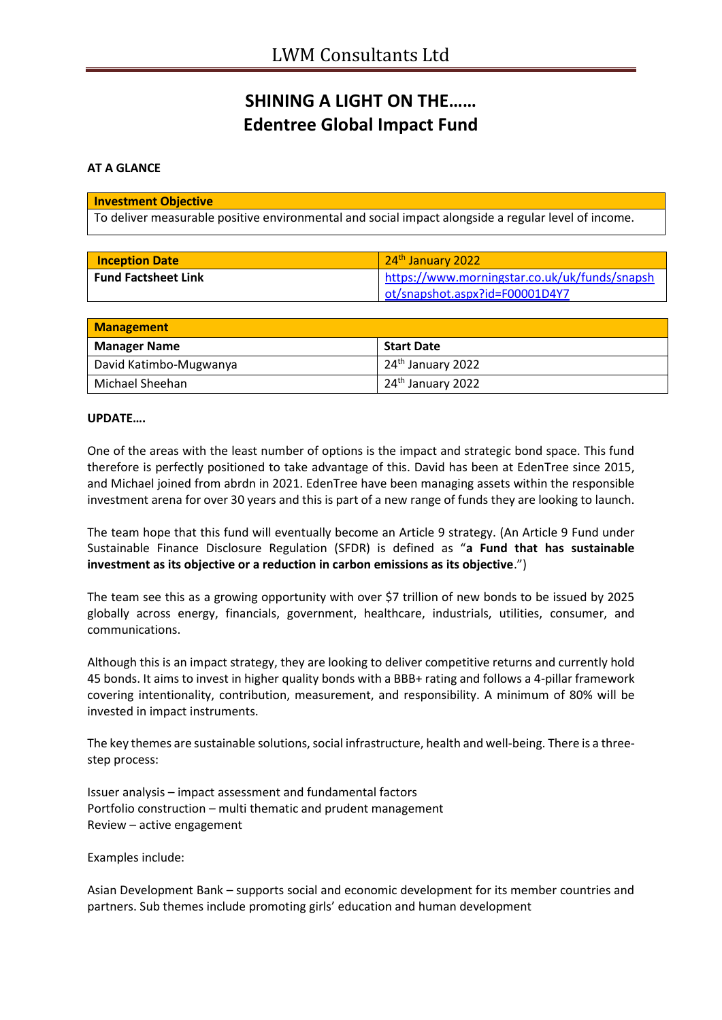## **SHINING A LIGHT ON THE…… Edentree Global Impact Fund**

## **AT A GLANCE**

| <b>Investment Objective</b>                                                                         |
|-----------------------------------------------------------------------------------------------------|
| To deliver measurable positive environmental and social impact alongside a regular level of income. |

| <b>Inception Date</b>      | $\sqrt{24^{th}}$ January 2022                 |
|----------------------------|-----------------------------------------------|
| <b>Fund Factsheet Link</b> | https://www.morningstar.co.uk/uk/funds/snapsh |
|                            | ot/snapshot.aspx?id=F00001D4Y7                |

| <b>Management</b>      |                               |  |
|------------------------|-------------------------------|--|
| <b>Manager Name</b>    | <b>Start Date</b>             |  |
| David Katimbo-Mugwanya | 24 <sup>th</sup> January 2022 |  |
| Michael Sheehan        | 24 <sup>th</sup> January 2022 |  |

## **UPDATE….**

One of the areas with the least number of options is the impact and strategic bond space. This fund therefore is perfectly positioned to take advantage of this. David has been at EdenTree since 2015, and Michael joined from abrdn in 2021. EdenTree have been managing assets within the responsible investment arena for over 30 years and this is part of a new range of funds they are looking to launch.

The team hope that this fund will eventually become an Article 9 strategy. (An Article 9 Fund under Sustainable Finance Disclosure Regulation (SFDR) is defined as "**a Fund that has sustainable investment as its objective or a reduction in carbon emissions as its objective**.")

The team see this as a growing opportunity with over \$7 trillion of new bonds to be issued by 2025 globally across energy, financials, government, healthcare, industrials, utilities, consumer, and communications.

Although this is an impact strategy, they are looking to deliver competitive returns and currently hold 45 bonds. It aims to invest in higher quality bonds with a BBB+ rating and follows a 4-pillar framework covering intentionality, contribution, measurement, and responsibility. A minimum of 80% will be invested in impact instruments.

The key themes are sustainable solutions, social infrastructure, health and well-being. There is a threestep process:

Issuer analysis – impact assessment and fundamental factors Portfolio construction – multi thematic and prudent management Review – active engagement

Examples include:

Asian Development Bank – supports social and economic development for its member countries and partners. Sub themes include promoting girls' education and human development